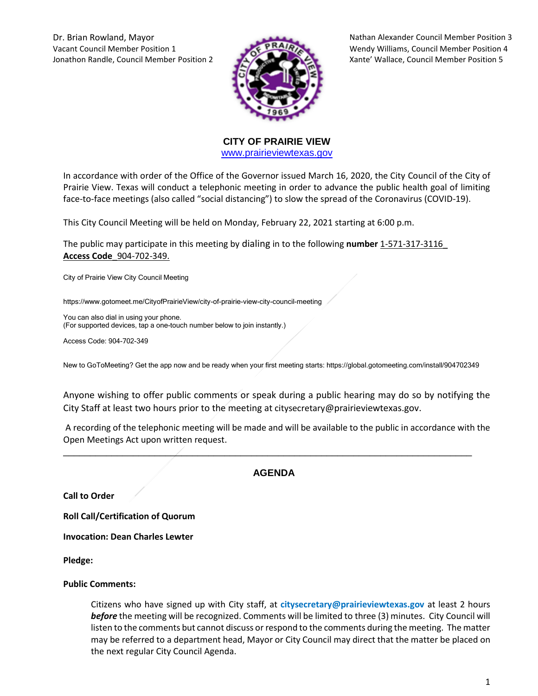Vacant Council Member Position 1 Wendy Williams, Council Member Position 4 Jonathon Randle, Council Member Position 2 Xante' Wallace, Council Member Position 5



Dr. Brian Rowland, Mayor Nathan Alexander Council Member Position 3

**CITY OF PRAIRIE VIEW**  [www.prairieviewtexas.gov](http://www.prairieviewtexas.gov/)

In accordance with order of the Office of the Governor issued March 16, 2020, the City Council of the City of Prairie View. Texas will conduct a telephonic meeting in order to advance the public health goal of limiting face-to-face meetings (also called "social distancing") to slow the spread of the Coronavirus (COVID-19).

This City Council Meeting will be held on Monday, February 22, 2021 starting at 6:00 p.m.

The public may participate in this meeting by dialing in to the following **number** 1-571-317-3116\_ **Access Code**\_904-702-349.

City of Prairie View City Council Meeting

https://www.gotomeet.me/CityofPrairieView/city-of-prairie-view-city-council-meeting

You can also dial in using your phone. (For supported devices, tap a one-touch number below to join instantly.)

Access Code: 904-702-349

New to GoToMeeting? Get the app now and be ready when your first meeting starts: https://global.gotomeeting.com/install/904702349

Anyone wishing to offer public comments or speak during a public hearing may do so by notifying the City Staff at least two hours prior to the meeting at citysecretary@prairieviewtexas.gov.

A recording of the telephonic meeting will be made and will be available to the public in accordance with the Open Meetings Act upon written request.

## **AGENDA**

\_\_\_\_\_\_\_\_\_\_\_\_\_\_\_\_\_\_\_\_\_\_\_\_\_\_\_\_\_\_\_\_\_\_\_\_\_\_\_\_\_\_\_\_\_\_\_\_\_\_\_\_\_\_\_\_\_\_\_\_\_\_\_\_\_\_\_\_\_\_\_\_\_\_\_\_

**Call to Order**

**Roll Call/Certification of Quorum**

**Invocation: Dean Charles Lewter**

**Pledge:** 

#### **Public Comments:**

Citizens who have signed up with City staff, at **citysecretary@prairieviewtexas.gov** at least 2 hours *before* the meeting will be recognized. Comments will be limited to three (3) minutes. City Council will listen to the comments but cannot discuss or respond to the comments during the meeting. The matter may be referred to a department head, Mayor or City Council may direct that the matter be placed on the next regular City Council Agenda.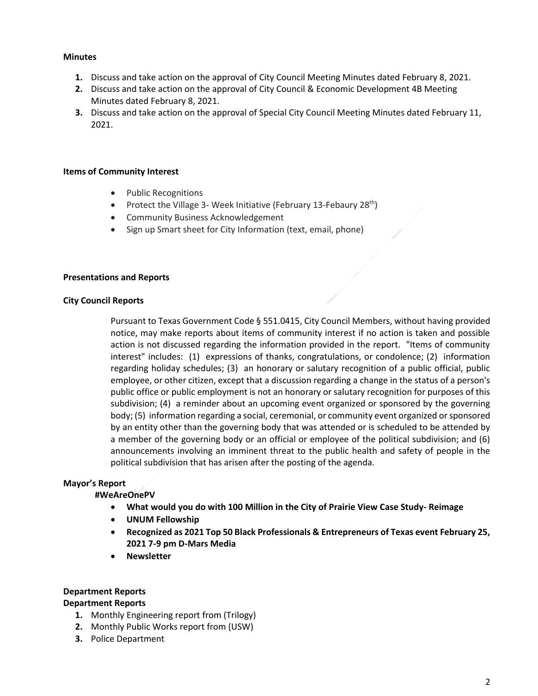### **Minutes**

- **1.** Discuss and take action on the approval of City Council Meeting Minutes dated February 8, 2021.
- **2.** Discuss and take action on the approval of City Council & Economic Development 4B Meeting Minutes dated February 8, 2021.
- **3.** Discuss and take action on the approval of Special City Council Meeting Minutes dated February 11, 2021.

### **Items of Community Interest**

- Public Recognitions
- Protect the Village 3- Week Initiative (February 13-Febaury 28<sup>th</sup>)
- **•** Community Business Acknowledgement
- Sign up Smart sheet for City Information (text, email, phone)

#### **Presentations and Reports**

#### **City Council Reports**

Pursuant to Texas Government Code § 551.0415, City Council Members, without having provided notice, may make reports about items of community interest if no action is taken and possible action is not discussed regarding the information provided in the report. "Items of community interest" includes: (1) expressions of thanks, congratulations, or condolence; (2) information regarding holiday schedules; (3) an honorary or salutary recognition of a public official, public employee, or other citizen, except that a discussion regarding a change in the status of a person's public office or public employment is not an honorary or salutary recognition for purposes of this subdivision; (4) a reminder about an upcoming event organized or sponsored by the governing body; (5) information regarding a social, ceremonial, or community event organized or sponsored by an entity other than the governing body that was attended or is scheduled to be attended by a member of the governing body or an official or employee of the political subdivision; and (6) announcements involving an imminent threat to the public health and safety of people in the political subdivision that has arisen after the posting of the agenda.

## **Mayor's Report**

## **#WeAreOnePV**

- **What would you do with 100 Million in the City of Prairie View Case Study- Reimage**
- **UNUM Fellowship**
- **Recognized as 2021 Top 50 Black Professionals & Entrepreneurs of Texas event February 25, 2021 7-9 pm D-Mars Media**
- **Newsletter**

## **Department Reports**

## **Department Reports**

- **1.** Monthly Engineering report from (Trilogy)
- **2.** Monthly Public Works report from (USW)
- **3.** Police Department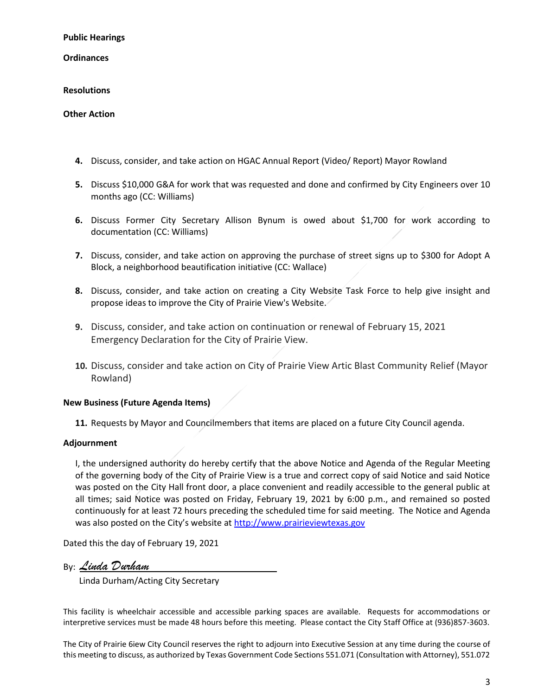**Public Hearings**

**Ordinances**

### **Resolutions**

#### **Other Action**

- **4.** Discuss, consider, and take action on HGAC Annual Report (Video/ Report) Mayor Rowland
- **5.** Discuss \$10,000 G&A for work that was requested and done and confirmed by City Engineers over 10 months ago (CC: Williams)
- **6.** Discuss Former City Secretary Allison Bynum is owed about \$1,700 for work according to documentation (CC: Williams)
- **7.** Discuss, consider, and take action on approving the purchase of street signs up to \$300 for Adopt A Block, a neighborhood beautification initiative (CC: Wallace)
- **8.** Discuss, consider, and take action on creating a City Website Task Force to help give insight and propose ideas to improve the City of Prairie View's Website.
- **9.** Discuss, consider, and take action on continuation or renewal of February 15, 2021 Emergency Declaration for the City of Prairie View.
- **10.** Discuss, consider and take action on City of Prairie View Artic Blast Community Relief (Mayor Rowland)

## **New Business (Future Agenda Items)**

**11.** Requests by Mayor and Councilmembers that items are placed on a future City Council agenda.

# **Adjournment**

I, the undersigned authority do hereby certify that the above Notice and Agenda of the Regular Meeting of the governing body of the City of Prairie View is a true and correct copy of said Notice and said Notice was posted on the City Hall front door, a place convenient and readily accessible to the general public at all times; said Notice was posted on Friday, February 19, 2021 by 6:00 p.m., and remained so posted continuously for at least 72 hours preceding the scheduled time for said meeting. The Notice and Agenda was also posted on the City's website at [http://www.prairieviewtexas.gov](http://www.prairieviewtexas.gov/)

Dated this the day of February 19, 2021

By: *Linda Durham*

Linda Durham/Acting City Secretary

This facility is wheelchair accessible and accessible parking spaces are available. Requests for accommodations or interpretive services must be made 48 hours before this meeting. Please contact the City Staff Office at (936)857-3603.

The City of Prairie 6iew City Council reserves the right to adjourn into Executive Session at any time during the course of this meeting to discuss, as authorized by Texas Government Code Sections 551.071 (Consultation with Attorney), 551.072